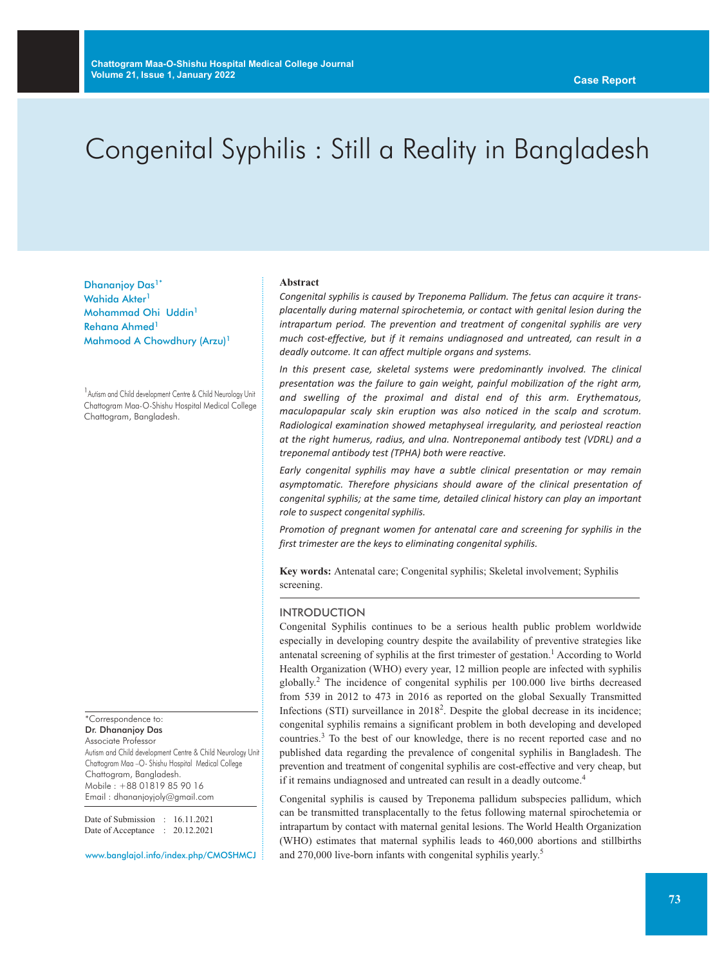# Congenital Syphilis : Still a Reality in Bangladesh

Dhananjoy Das<sup>1\*</sup> Wahida Akter<sup>1</sup> Mohammad Ohi Uddin1 Rehana Ahmed<sup>1</sup> Mahmood A Chowdhury (Arzu)<sup>1</sup>

<sup>1</sup> Autism and Child development Centre & Child Neurology Unit Chattogram Maa-O-Shishu Hospital Medical College Chattogram, Bangladesh.

\*Correspondence to: Dr. Dhananjoy Das Associate Professor

Autism and Child development Centre & Child Neurology Unit Chattogram Maa –O- Shishu Hospital Medical College Chattogram, Bangladesh. Mobile : +88 01819 85 90 16 Email : dhananjoyjoly@gmail.com

Date of Submission : 16.11.2021 Date of Acceptance : 20.12.2021

www.banglajol.info/index.php/CMOSHMCJ

#### **Abstract**

*Congenital syphilis is caused by Treponema Pallidum. The fetus can acquire it transplacentally during maternal spirochetemia, or contact with genital lesion during the intrapartum period. The prevention and treatment of congenital syphilis are very much cost-effective, but if it remains undiagnosed and untreated, can result in a deadly outcome. It can affect multiple organs and systems.*

*In this present case, skeletal systems were predominantly involved. The clinical presentation was the failure to gain weight, painful mobilization of the right arm, and swelling of the proximal and distal end of this arm. Erythematous, maculopapular scaly skin eruption was also noticed in the scalp and scrotum. Radiological examination showed metaphyseal irregularity, and periosteal reaction at the right humerus, radius, and ulna. Nontreponemal antibody test (VDRL) and a treponemal antibody test (TPHA) both were reactive.*

*Early congenital syphilis may have a subtle clinical presentation or may remain asymptomatic. Therefore physicians should aware of the clinical presentation of congenital syphilis; at the same time, detailed clinical history can play an important role to suspect congenital syphilis.*

*Promotion of pregnant women for antenatal care and screening for syphilis in the first trimester are the keys to eliminating congenital syphilis.*

**Key words:** Antenatal care; Congenital syphilis; Skeletal involvement; Syphilis screening.

#### INTRODUCTION

Congenital Syphilis continues to be a serious health public problem worldwide especially in developing country despite the availability of preventive strategies like antenatal screening of syphilis at the first trimester of gestation. <sup>1</sup> According to World Health Organization (WHO) every year, 12 million people are infected with syphilis globally. <sup>2</sup> The incidence of congenital syphilis per 100.000 live births decreased from 539 in 2012 to 473 in 2016 as reported on the global Sexually Transmitted Infections (STI) surveillance in 2018<sup>2</sup>. Despite the global decrease in its incidence; congenital syphilis remains a significant problem in both developing and developed countries. <sup>3</sup> To the best of our knowledge, there is no recent reported case and no published data regarding the prevalence of congenital syphilis in Bangladesh. The prevention and treatment of congenital syphilis are cost-effective and very cheap, but if it remains undiagnosed and untreated can result in a deadly outcome. 4

Congenital syphilis is caused by Treponema pallidum subspecies pallidum, which can be transmitted transplacentally to the fetus following maternal spirochetemia or intrapartum by contact with maternal genital lesions. The World Health Organization (WHO) estimates that maternal syphilis leads to 460,000 abortions and stillbirths and 270,000 live-born infants with congenital syphilis yearly. 5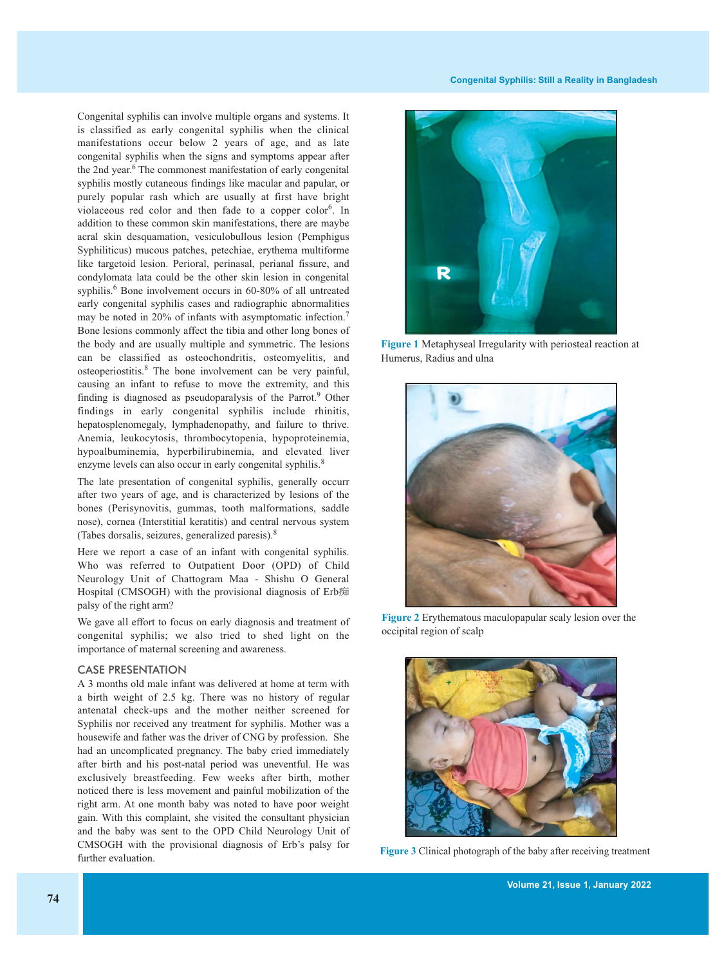Congenital syphilis can involve multiple organs and systems. It is classified as early congenital syphilis when the clinical manifestations occur below 2 years of age, and as late congenital syphilis when the signs and symptoms appear after the 2nd year. <sup>6</sup> The commonest manifestation of early congenital syphilis mostly cutaneous findings like macular and papular, or purely popular rash which are usually at first have bright violaceous red color and then fade to a copper color<sup>6</sup>. In addition to these common skin manifestations, there are maybe acral skin desquamation, vesiculobullous lesion (Pemphigus Syphiliticus) mucous patches, petechiae, erythema multiforme like targetoid lesion. Perioral, perinasal, perianal fissure, and condylomata lata could be the other skin lesion in congenital syphilis. <sup>6</sup> Bone involvement occurs in 60-80% of all untreated early congenital syphilis cases and radiographic abnormalities may be noted in 20% of infants with asymptomatic infection.<sup>7</sup> Bone lesions commonly affect the tibia and other long bones of the body and are usually multiple and symmetric. The lesions can be classified as osteochondritis, osteomyelitis, and osteoperiostitis. <sup>8</sup> The bone involvement can be very painful, causing an infant to refuse to move the extremity, and this finding is diagnosed as pseudoparalysis of the Parrot. <sup>9</sup> Other findings in early congenital syphilis include rhinitis, hepatosplenomegaly, lymphadenopathy, and failure to thrive. Anemia, leukocytosis, thrombocytopenia, hypoproteinemia, hypoalbuminemia, hyperbilirubinemia, and elevated liver enzyme levels can also occur in early congenital syphilis.<sup>8</sup>

The late presentation of congenital syphilis, generally occurr after two years of age, and is characterized by lesions of the bones (Perisynovitis, gummas, tooth malformations, saddle nose), cornea (Interstitial keratitis) and central nervous system (Tabes dorsalis, seizures, generalized paresis). 8

Here we report a case of an infant with congenital syphilis. Who was referred to Outpatient Door (OPD) of Child Neurology Unit of Chattogram Maa - Shishu O General Hospital (CMSOGH) with the provisional diagnosis of Erb痴 palsy of the right arm?

We gave all effort to focus on early diagnosis and treatment of congenital syphilis; we also tried to shed light on the importance of maternal screening and awareness.

#### CASE PRESENTATION

A 3 months old male infant was delivered at home at term with a birth weight of 2.5 kg. There was no history of regular antenatal check-ups and the mother neither screened for Syphilis nor received any treatment for syphilis. Mother was a housewife and father was the driver of CNG by profession. She had an uncomplicated pregnancy. The baby cried immediately after birth and his post-natal period was uneventful. He was exclusively breastfeeding. Few weeks after birth, mother noticed there is less movement and painful mobilization of the right arm. At one month baby was noted to have poor weight gain. With this complaint, she visited the consultant physician and the baby was sent to the OPD Child Neurology Unit of CMSOGH with the provisional diagnosis of Erb's palsy for further evaluation.



**Figure 1** Metaphyseal Irregularity with periosteal reaction at Humerus, Radius and ulna



**Figure 2** Erythematous maculopapular scaly lesion over the occipital region of scalp



**Figure 3** Clinical photograph of the baby after receiving treatment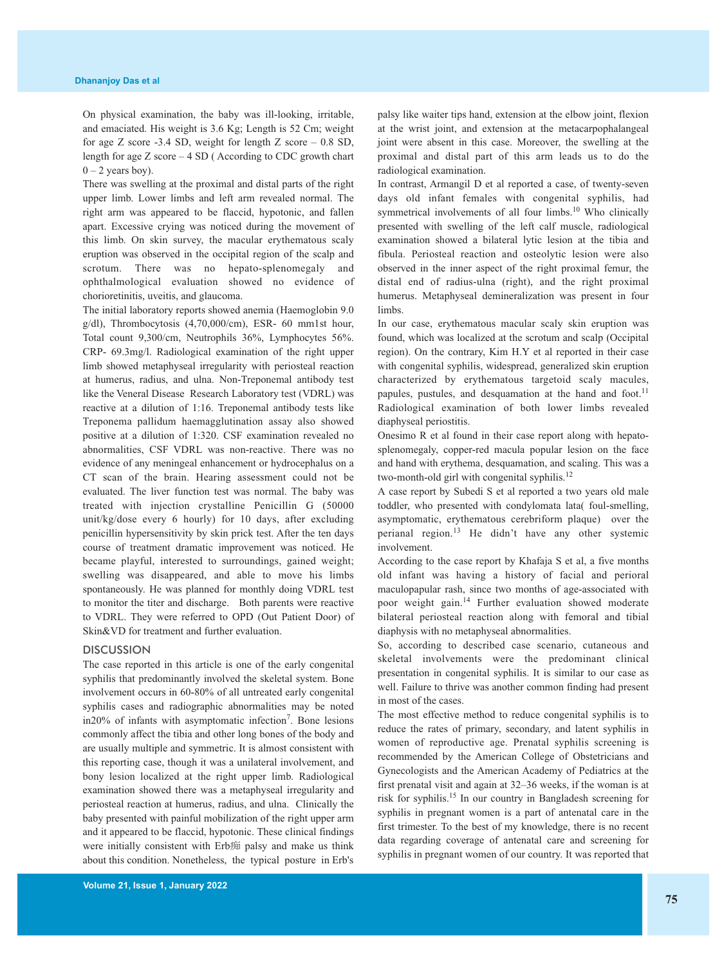On physical examination, the baby was ill-looking, irritable, and emaciated. His weight is 3.6 Kg; Length is 52 Cm; weight for age Z score -3.4 SD, weight for length Z score – 0.8 SD, length for age Z score – 4 SD ( According to CDC growth chart  $0 - 2$  years boy).

There was swelling at the proximal and distal parts of the right upper limb. Lower limbs and left arm revealed normal. The right arm was appeared to be flaccid, hypotonic, and fallen apart. Excessive crying was noticed during the movement of this limb. On skin survey, the macular erythematous scaly eruption was observed in the occipital region of the scalp and scrotum. There was no hepato-splenomegaly and ophthalmological evaluation showed no evidence of chorioretinitis, uveitis, and glaucoma.

The initial laboratory reports showed anemia (Haemoglobin 9.0 g/dl), Thrombocytosis (4,70,000/cm), ESR- 60 mm1st hour, Total count 9,300/cm, Neutrophils 36%, Lymphocytes 56%. CRP- 69.3mg/l. Radiological examination of the right upper limb showed metaphyseal irregularity with periosteal reaction at humerus, radius, and ulna. Non-Treponemal antibody test like the Veneral Disease Research Laboratory test (VDRL) was reactive at a dilution of 1:16. Treponemal antibody tests like Treponema pallidum haemagglutination assay also showed positive at a dilution of 1:320. CSF examination revealed no abnormalities, CSF VDRL was non-reactive. There was no evidence of any meningeal enhancement or hydrocephalus on a CT scan of the brain. Hearing assessment could not be evaluated. The liver function test was normal. The baby was treated with injection crystalline Penicillin G (50000 unit/kg/dose every 6 hourly) for 10 days, after excluding penicillin hypersensitivity by skin prick test. After the ten days course of treatment dramatic improvement was noticed. He became playful, interested to surroundings, gained weight; swelling was disappeared, and able to move his limbs spontaneously. He was planned for monthly doing VDRL test to monitor the titer and discharge. Both parents were reactive to VDRL. They were referred to OPD (Out Patient Door) of Skin&VD for treatment and further evaluation.

#### **DISCUSSION**

The case reported in this article is one of the early congenital syphilis that predominantly involved the skeletal system. Bone involvement occurs in 60-80% of all untreated early congenital syphilis cases and radiographic abnormalities may be noted in20% of infants with asymptomatic infection<sup>7</sup>. Bone lesions commonly affect the tibia and other long bones of the body and are usually multiple and symmetric. It is almost consistent with this reporting case, though it was a unilateral involvement, and bony lesion localized at the right upper limb. Radiological examination showed there was a metaphyseal irregularity and periosteal reaction at humerus, radius, and ulna. Clinically the baby presented with painful mobilization of the right upper arm and it appeared to be flaccid, hypotonic. These clinical findings were initially consistent with Erb痴 palsy and make us think about this condition. Nonetheless, the typical posture in Erb's

palsy like waiter tips hand, extension at the elbow joint, flexion at the wrist joint, and extension at the metacarpophalangeal joint were absent in this case. Moreover, the swelling at the proximal and distal part of this arm leads us to do the radiological examination.

In contrast, Armangil D et al reported a case, of twenty-seven days old infant females with congenital syphilis, had symmetrical involvements of all four limbs.<sup>10</sup> Who clinically presented with swelling of the left calf muscle, radiological examination showed a bilateral lytic lesion at the tibia and fibula. Periosteal reaction and osteolytic lesion were also observed in the inner aspect of the right proximal femur, the distal end of radius-ulna (right), and the right proximal humerus. Metaphyseal demineralization was present in four limbs.

In our case, erythematous macular scaly skin eruption was found, which was localized at the scrotum and scalp (Occipital region). On the contrary, Kim H.Y et al reported in their case with congenital syphilis, widespread, generalized skin eruption characterized by erythematous targetoid scaly macules, papules, pustules, and desquamation at the hand and foot.<sup>11</sup> Radiological examination of both lower limbs revealed diaphyseal periostitis.

Onesimo R et al found in their case report along with hepatosplenomegaly, copper-red macula popular lesion on the face and hand with erythema, desquamation, and scaling. This was a two-month-old girl with congenital syphilis. 12

A case report by Subedi S et al reported a two years old male toddler, who presented with condylomata lata( foul-smelling, asymptomatic, erythematous cerebriform plaque) over the perianal region.<sup>13</sup> He didn't have any other systemic involvement.

According to the case report by Khafaja S et al, a five months old infant was having a history of facial and perioral maculopapular rash, since two months of age-associated with poor weight gain. <sup>14</sup> Further evaluation showed moderate bilateral periosteal reaction along with femoral and tibial diaphysis with no metaphyseal abnormalities.

So, according to described case scenario, cutaneous and skeletal involvements were the predominant clinical presentation in congenital syphilis. It is similar to our case as well. Failure to thrive was another common finding had present in most of the cases.

The most effective method to reduce congenital syphilis is to reduce the rates of primary, secondary, and latent syphilis in women of reproductive age. Prenatal syphilis screening is recommended by the American College of Obstetricians and Gynecologists and the American Academy of Pediatrics at the first prenatal visit and again at 32–36 weeks, if the woman is at risk for syphilis. <sup>15</sup> In our country in Bangladesh screening for syphilis in pregnant women is a part of antenatal care in the first trimester. To the best of my knowledge, there is no recent data regarding coverage of antenatal care and screening for syphilis in pregnant women of our country. It was reported that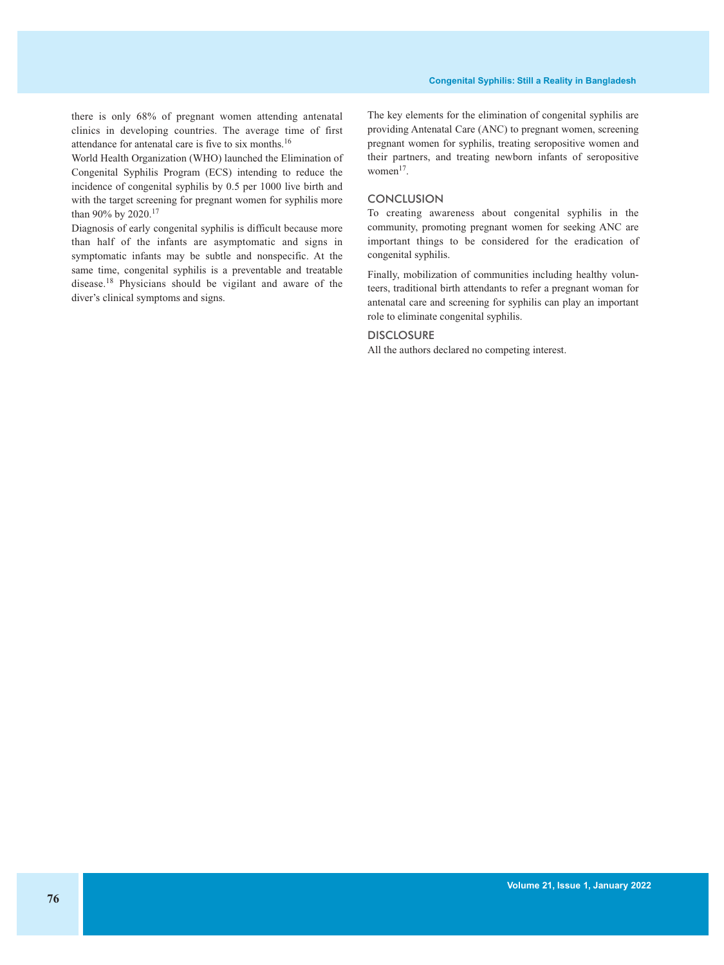there is only 68% of pregnant women attending antenatal clinics in developing countries. The average time of first attendance for antenatal care is five to six months.<sup>16</sup>

World Health Organization (WHO) launched the Elimination of Congenital Syphilis Program (ECS) intending to reduce the incidence of congenital syphilis by 0.5 per 1000 live birth and with the target screening for pregnant women for syphilis more than 90% by 2020.<sup>17</sup>

Diagnosis of early congenital syphilis is difficult because more than half of the infants are asymptomatic and signs in symptomatic infants may be subtle and nonspecific. At the same time, congenital syphilis is a preventable and treatable disease. <sup>18</sup> Physicians should be vigilant and aware of the diver's clinical symptoms and signs.

The key elements for the elimination of congenital syphilis are providing Antenatal Care (ANC) to pregnant women, screening pregnant women for syphilis, treating seropositive women and their partners, and treating newborn infants of seropositive  $women<sup>17</sup>$ .

### **CONCLUSION**

To creating awareness about congenital syphilis in the community, promoting pregnant women for seeking ANC are important things to be considered for the eradication of congenital syphilis.

Finally, mobilization of communities including healthy volunteers, traditional birth attendants to refer a pregnant woman for antenatal care and screening for syphilis can play an important role to eliminate congenital syphilis.

#### **DISCLOSURE**

All the authors declared no competing interest.